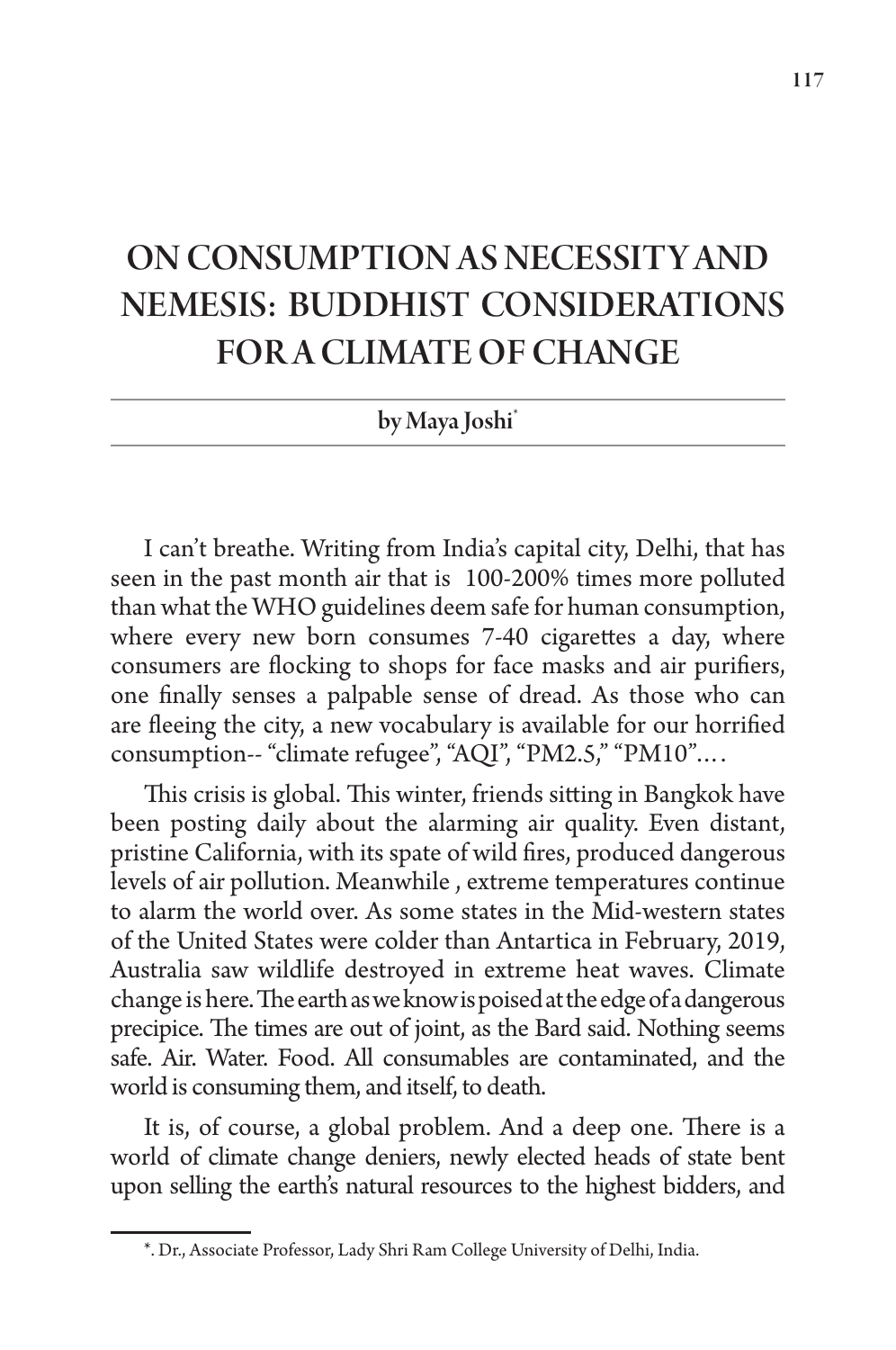# ON CONSUMPTION AS NECESSITY AND NEMESIS: BUDDHIST CONSIDERATIONS FOR A CLIMATE OF CHANGE

by Maya Joshi\*

I can't breathe. Writing from India's capital city, Delhi, that has seen in the past month air that is 100-200% times more polluted than what the WHO guidelines deem safe for human consumption, where every new born consumes 7-40 cigarettes a day, where consumers are flocking to shops for face masks and air purifiers, one finally senses a palpable sense of dread. As those who can are fleeing the city, a new vocabulary is available for our horrified consumption-- "climate refugee", "AQI", "PM2.5," "PM10"….

This crisis is global. This winter, friends sitting in Bangkok have been posting daily about the alarming air quality. Even distant, pristine California, with its spate of wild fires, produced dangerous levels of air pollution. Meanwhile , extreme temperatures continue to alarm the world over. As some states in the Mid-western states of the United States were colder than Antartica in February, 2019, Australia saw wildlife destroyed in extreme heat waves. Climate change is here. The earth as we know is poised at the edge of a dangerous precipice. The times are out of joint, as the Bard said. Nothing seems safe. Air. Water. Food. All consumables are contaminated, and the world is consuming them, and itself, to death.

It is, of course, a global problem. And a deep one. There is a world of climate change deniers, newly elected heads of state bent upon selling the earth's natural resources to the highest bidders, and

<sup>\*.</sup> Dr., Associate Professor, Lady Shri Ram College University of Delhi, India.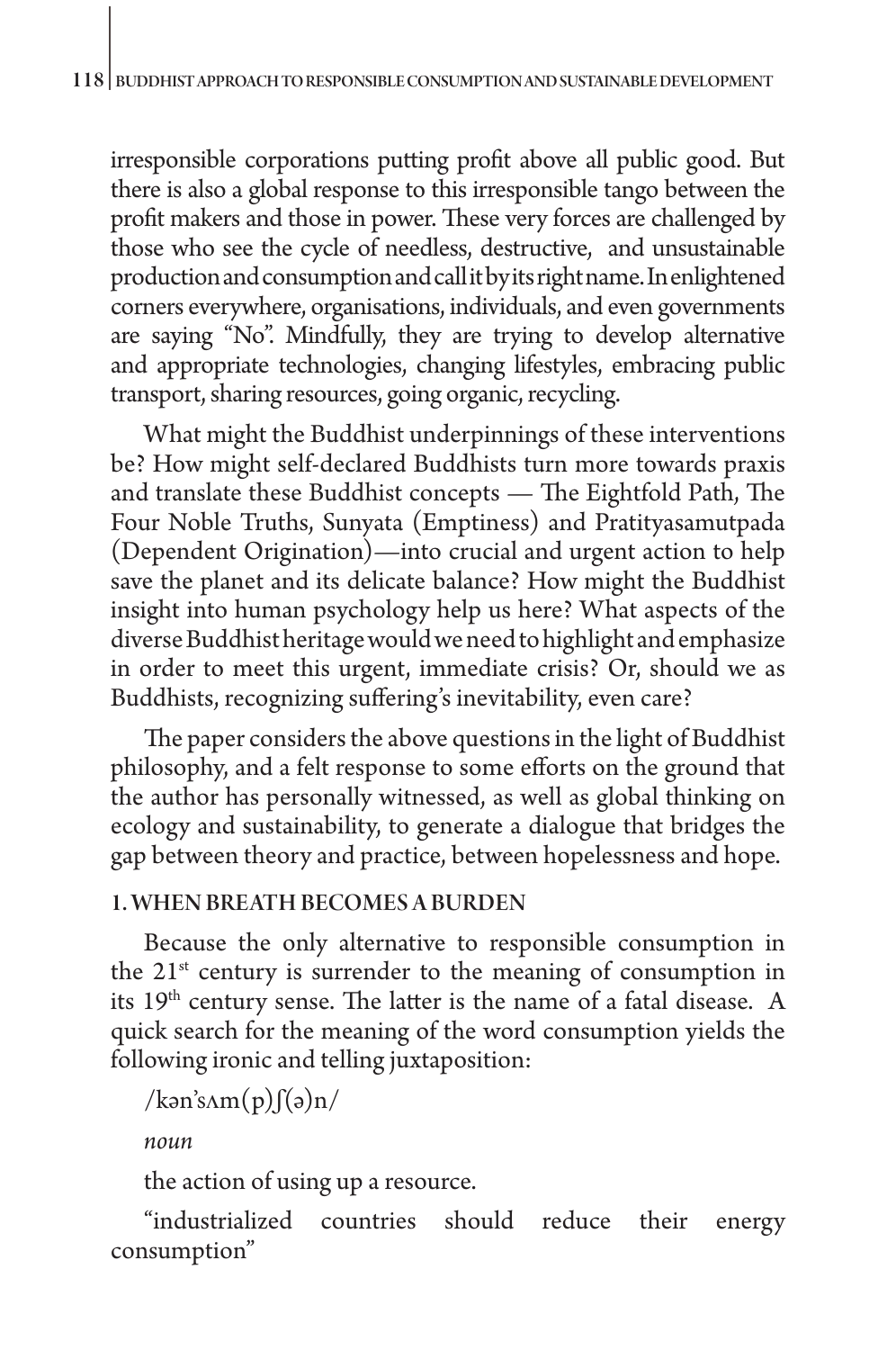irresponsible corporations putting profit above all public good. But there is also a global response to this irresponsible tango between the profit makers and those in power. These very forces are challenged by those who see the cycle of needless, destructive, and unsustainable production and consumption and call it by its right name. In enlightened corners everywhere, organisations, individuals, and even governments are saying "No". Mindfully, they are trying to develop alternative and appropriate technologies, changing lifestyles, embracing public transport, sharing resources, going organic, recycling.

What might the Buddhist underpinnings of these interventions be? How might self-declared Buddhists turn more towards praxis and translate these Buddhist concepts — The Eightfold Path, The Four Noble Truths, Sunyata (Emptiness) and Pratityasamutpada (Dependent Origination)—into crucial and urgent action to help save the planet and its delicate balance? How might the Buddhist insight into human psychology help us here? What aspects of the diverse Buddhist heritage would we need to highlight and emphasize in order to meet this urgent, immediate crisis? Or, should we as Buddhists, recognizing suffering's inevitability, even care?

The paper considers the above questions in the light of Buddhist philosophy, and a felt response to some efforts on the ground that the author has personally witnessed, as well as global thinking on ecology and sustainability, to generate a dialogue that bridges the gap between theory and practice, between hopelessness and hope.

## 1. WHEN BREATH BECOMES A BURDEN

Because the only alternative to responsible consumption in the 21<sup>st</sup> century is surrender to the meaning of consumption in its 19th century sense. The latter is the name of a fatal disease. A quick search for the meaning of the word consumption yields the following ironic and telling juxtaposition:

```
\frac{1}{\pi}kən's\Delta m(p)\int (a) n /
```
*noun*

the action of using up a resource.

"industrialized countries should reduce their energy consumption"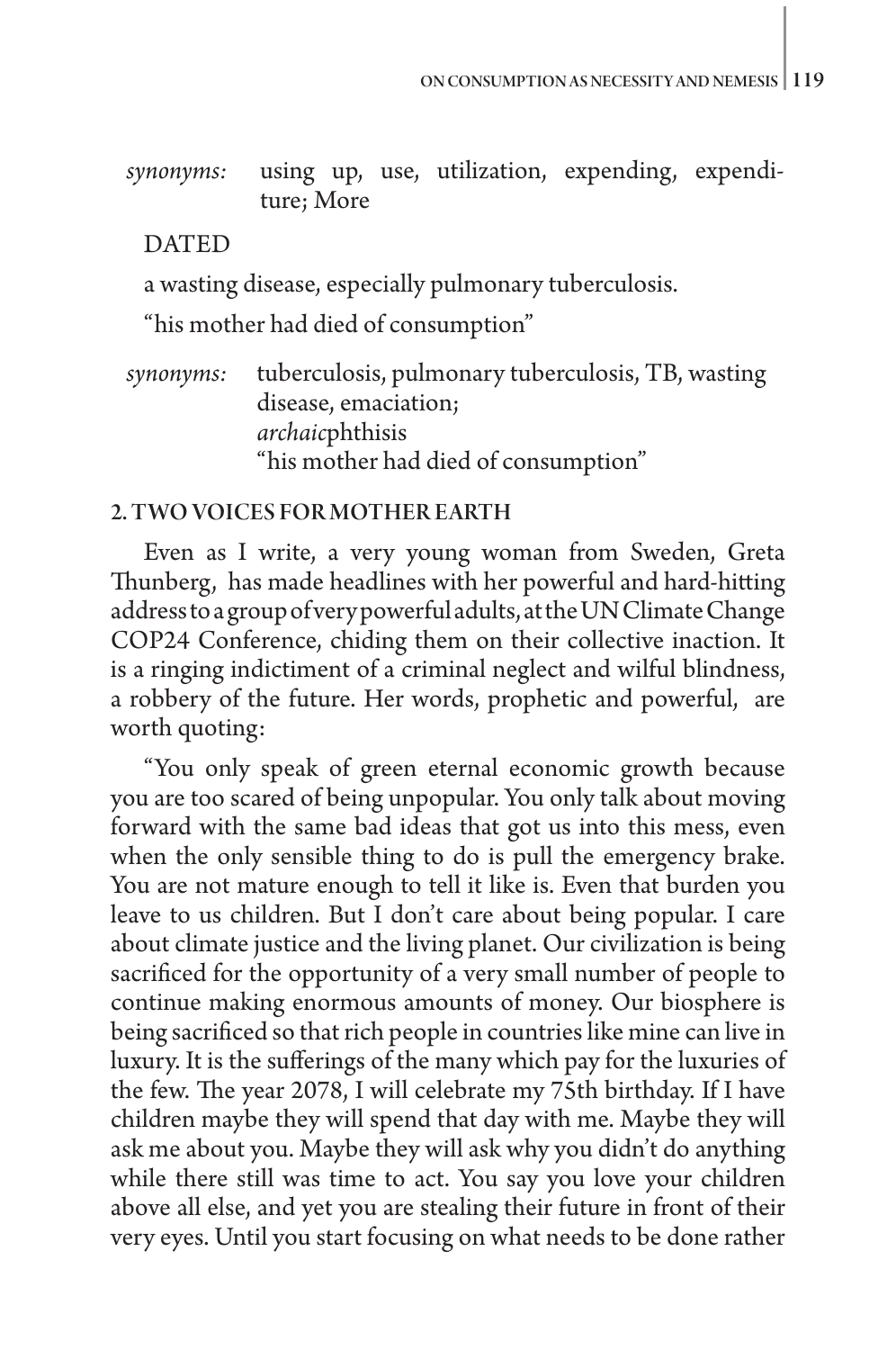synonyms: using up, use, utilization, expending, expenditure; More

DATED

a wasting disease, especially pulmonary tuberculosis.

"his mother had died of consumption"

 *synonyms:* tuberculosis, pulmonary tuberculosis, TB, wasting disease, emaciation; *archaic*phthisis "his mother had died of consumption"

#### 2. TWO VOICES FOR MOTHER EARTH

Even as I write, a very young woman from Sweden, Greta Thunberg, has made headlines with her powerful and hard-hitting address to a group of very powerful adults, at the UN Climate Change COP24 Conference, chiding them on their collective inaction. It is a ringing indictiment of a criminal neglect and wilful blindness, a robbery of the future. Her words, prophetic and powerful, are worth quoting:

"You only speak of green eternal economic growth because you are too scared of being unpopular. You only talk about moving forward with the same bad ideas that got us into this mess, even when the only sensible thing to do is pull the emergency brake. You are not mature enough to tell it like is. Even that burden you leave to us children. But I don't care about being popular. I care about climate justice and the living planet. Our civilization is being sacrificed for the opportunity of a very small number of people to continue making enormous amounts of money. Our biosphere is being sacrificed so that rich people in countries like mine can live in luxury. It is the sufferings of the many which pay for the luxuries of the few. The year 2078, I will celebrate my 75th birthday. If I have children maybe they will spend that day with me. Maybe they will ask me about you. Maybe they will ask why you didn't do anything while there still was time to act. You say you love your children above all else, and yet you are stealing their future in front of their very eyes. Until you start focusing on what needs to be done rather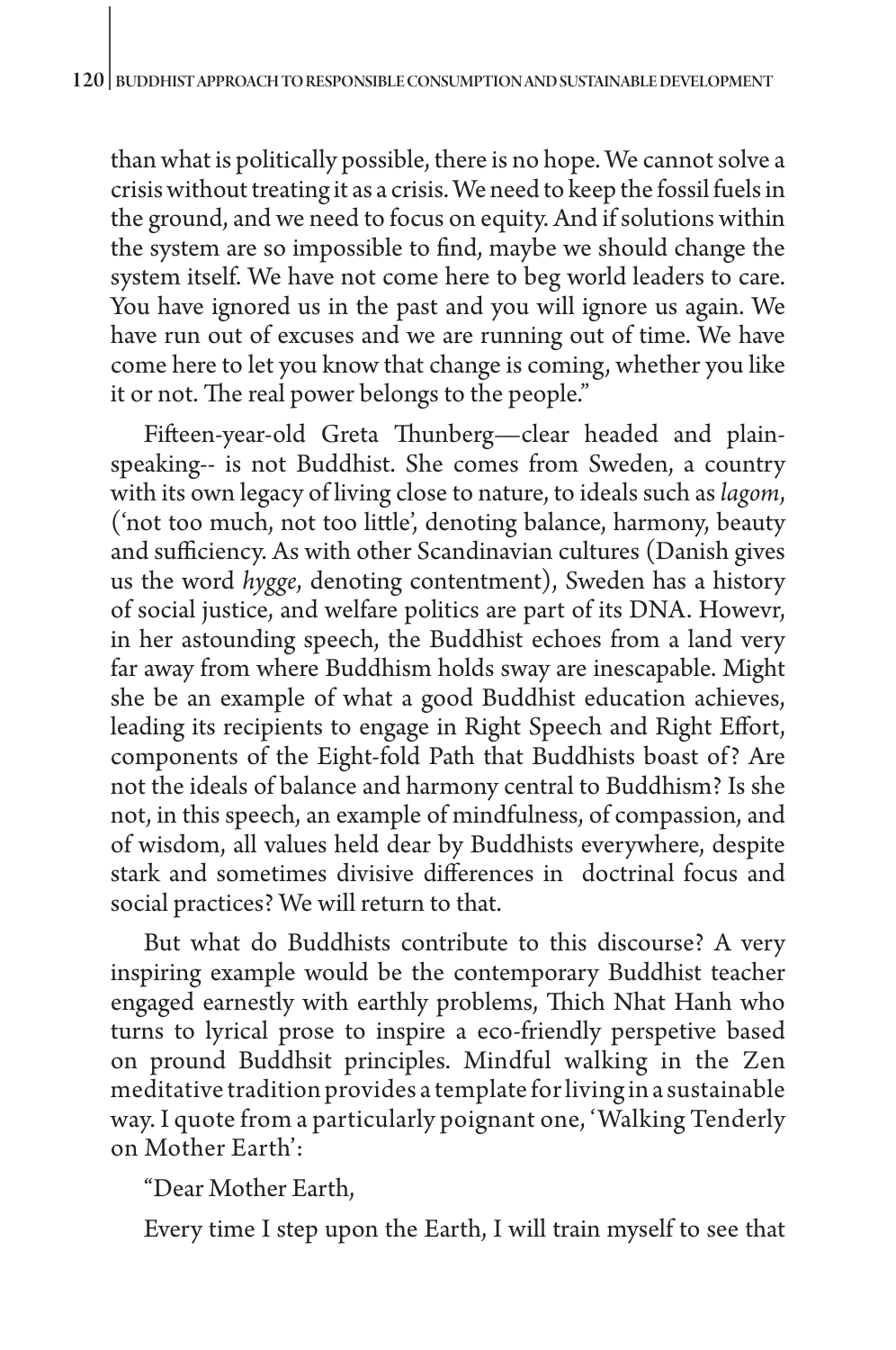than what is politically possible, there is no hope. We cannot solve a crisis without treating it as a crisis. We need to keep the fossil fuels in the ground, and we need to focus on equity. And if solutions within the system are so impossible to find, maybe we should change the system itself. We have not come here to beg world leaders to care. You have ignored us in the past and you will ignore us again. We have run out of excuses and we are running out of time. We have come here to let you know that change is coming, whether you like it or not. The real power belongs to the people."

Fifteen-year-old Greta Thunberg—clear headed and plainspeaking-- is not Buddhist. She comes from Sweden, a country with its own legacy of living close to nature, to ideals such as *lagom*, ('not too much, not too little', denoting balance, harmony, beauty and sufficiency. As with other Scandinavian cultures (Danish gives us the word *hygge*, denoting contentment), Sweden has a history of social justice, and welfare politics are part of its DNA. Howevr, in her astounding speech, the Buddhist echoes from a land very far away from where Buddhism holds sway are inescapable. Might she be an example of what a good Buddhist education achieves, leading its recipients to engage in Right Speech and Right Effort, components of the Eight-fold Path that Buddhists boast of? Are not the ideals of balance and harmony central to Buddhism? Is she not, in this speech, an example of mindfulness, of compassion, and of wisdom, all values held dear by Buddhists everywhere, despite stark and sometimes divisive differences in doctrinal focus and social practices? We will return to that.

But what do Buddhists contribute to this discourse? A very inspiring example would be the contemporary Buddhist teacher engaged earnestly with earthly problems, Thich Nhat Hanh who turns to lyrical prose to inspire a eco-friendly perspetive based on pround Buddhsit principles. Mindful walking in the Zen meditative tradition provides a template for living in a sustainable way. I quote from a particularly poignant one, 'Walking Tenderly on Mother Earth':

"Dear Mother Earth,

Every time I step upon the Earth, I will train myself to see that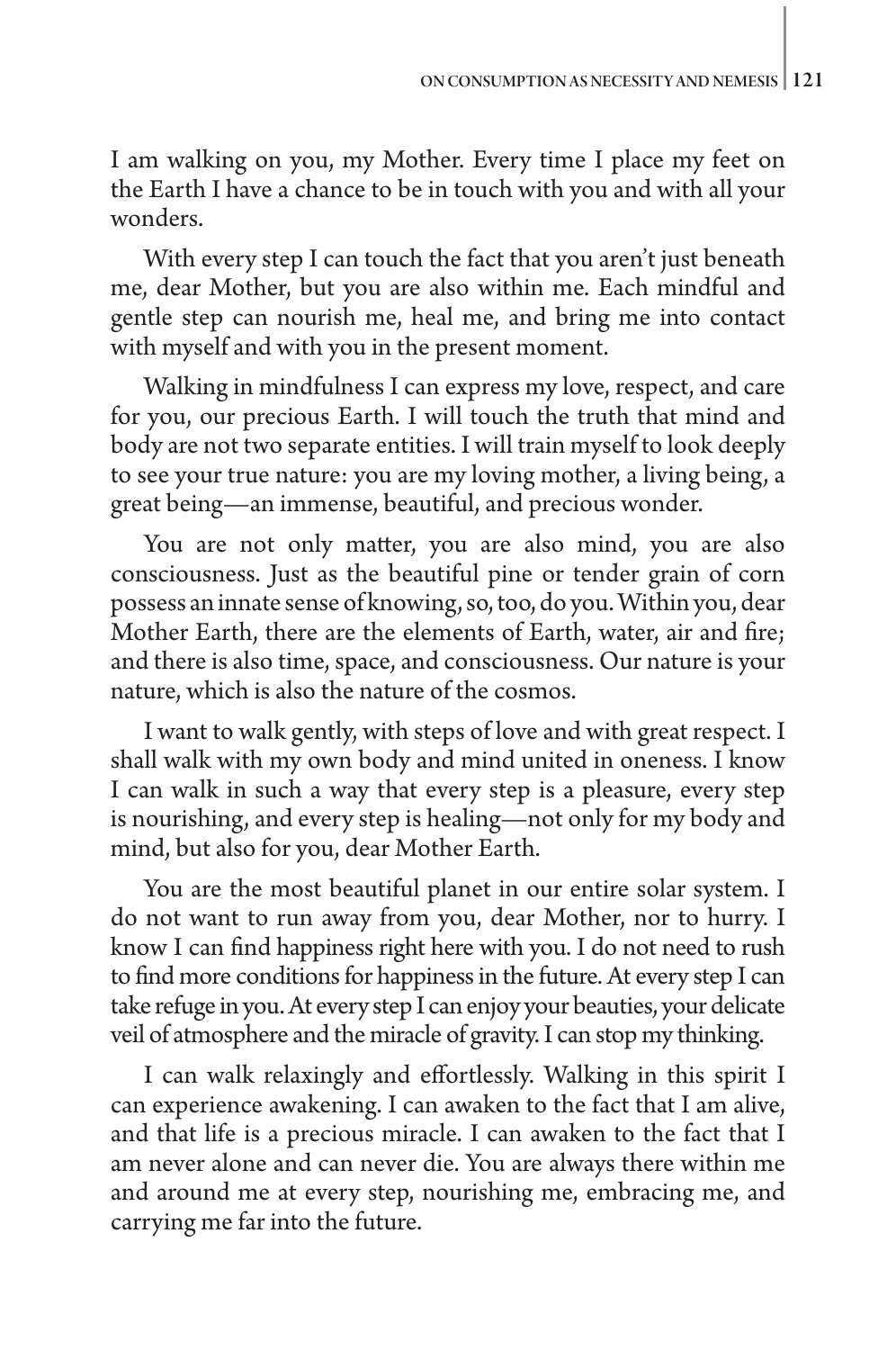I am walking on you, my Mother. Every time I place my feet on the Earth I have a chance to be in touch with you and with all your wonders.

With every step I can touch the fact that you aren't just beneath me, dear Mother, but you are also within me. Each mindful and gentle step can nourish me, heal me, and bring me into contact with myself and with you in the present moment.

Walking in mindfulness I can express my love, respect, and care for you, our precious Earth. I will touch the truth that mind and body are not two separate entities. I will train myself to look deeply to see your true nature: you are my loving mother, a living being, a great being—an immense, beautiful, and precious wonder.

You are not only matter, you are also mind, you are also consciousness. Just as the beautiful pine or tender grain of corn possess an innate sense of knowing, so, too, do you. Within you, dear Mother Earth, there are the elements of Earth, water, air and fire; and there is also time, space, and consciousness. Our nature is your nature, which is also the nature of the cosmos.

I want to walk gently, with steps of love and with great respect. I shall walk with my own body and mind united in oneness. I know I can walk in such a way that every step is a pleasure, every step is nourishing, and every step is healing—not only for my body and mind, but also for you, dear Mother Earth.

You are the most beautiful planet in our entire solar system. I do not want to run away from you, dear Mother, nor to hurry. I know I can find happiness right here with you. I do not need to rush to find more conditions for happiness in the future. At every step I can take refuge in you. At every step I can enjoy your beauties, your delicate veil of atmosphere and the miracle of gravity. I can stop my thinking.

I can walk relaxingly and effortlessly. Walking in this spirit I can experience awakening. I can awaken to the fact that I am alive, and that life is a precious miracle. I can awaken to the fact that I am never alone and can never die. You are always there within me and around me at every step, nourishing me, embracing me, and carrying me far into the future.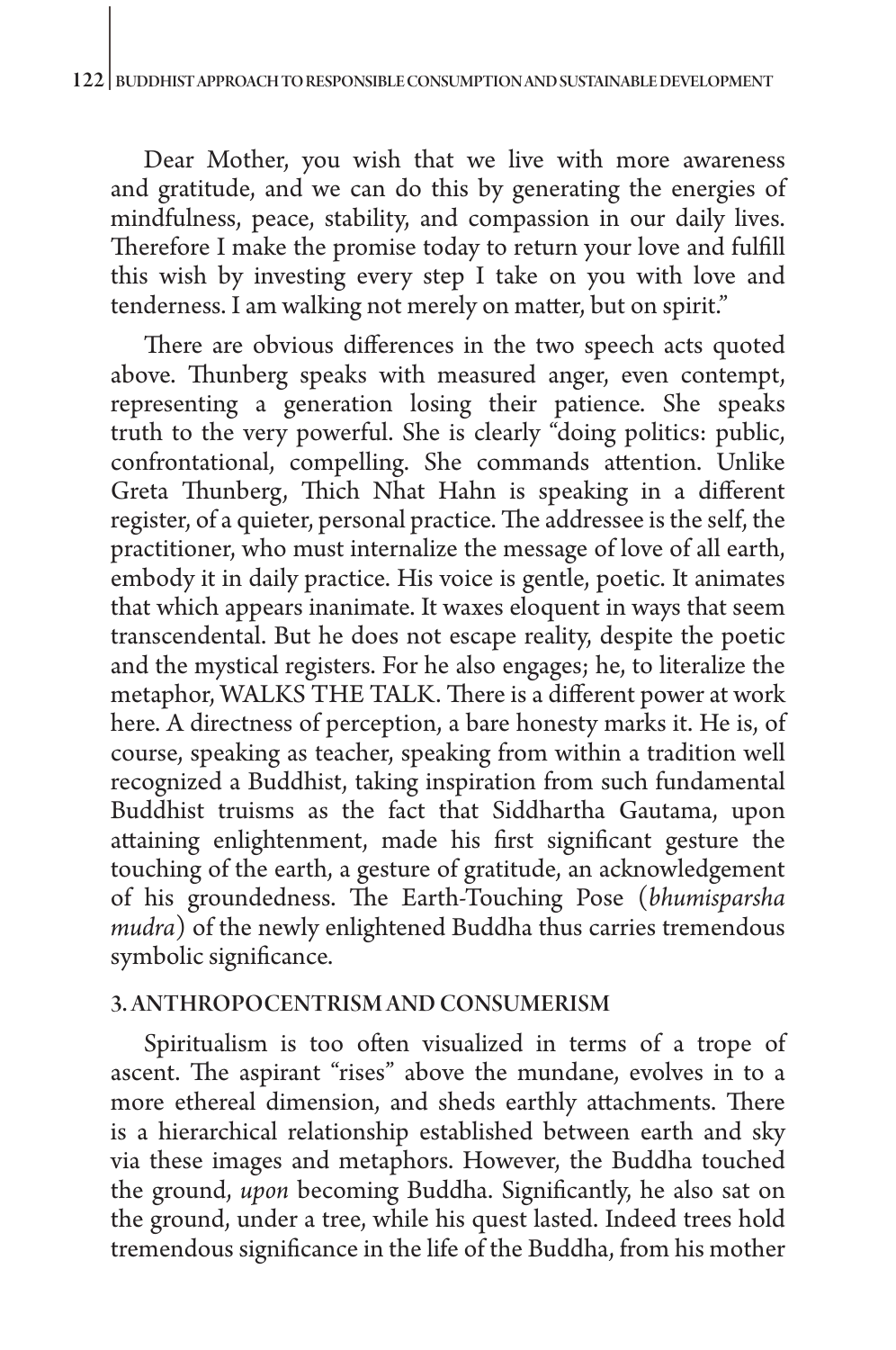Dear Mother, you wish that we live with more awareness and gratitude, and we can do this by generating the energies of mindfulness, peace, stability, and compassion in our daily lives. Therefore I make the promise today to return your love and fulfill this wish by investing every step I take on you with love and tenderness. I am walking not merely on matter, but on spirit."

There are obvious differences in the two speech acts quoted above. Thunberg speaks with measured anger, even contempt, representing a generation losing their patience. She speaks truth to the very powerful. She is clearly "doing politics: public, confrontational, compelling. She commands attention. Unlike Greta Thunberg, Thich Nhat Hahn is speaking in a different register, of a quieter, personal practice. The addressee is the self, the practitioner, who must internalize the message of love of all earth, embody it in daily practice. His voice is gentle, poetic. It animates that which appears inanimate. It waxes eloquent in ways that seem transcendental. But he does not escape reality, despite the poetic and the mystical registers. For he also engages; he, to literalize the metaphor, WALKS THE TALK. There is a different power at work here. A directness of perception, a bare honesty marks it. He is, of course, speaking as teacher, speaking from within a tradition well recognized a Buddhist, taking inspiration from such fundamental Buddhist truisms as the fact that Siddhartha Gautama, upon attaining enlightenment, made his first significant gesture the touching of the earth, a gesture of gratitude, an acknowledgement of his groundedness. The Earth-Touching Pose (*bhumisparsha mudra*) of the newly enlightened Buddha thus carries tremendous symbolic significance.

## 3. ANTHROPOCENTRISM AND CONSUMERISM

Spiritualism is too often visualized in terms of a trope of ascent. The aspirant "rises" above the mundane, evolves in to a more ethereal dimension, and sheds earthly attachments. There is a hierarchical relationship established between earth and sky via these images and metaphors. However, the Buddha touched the ground, *upon* becoming Buddha. Significantly, he also sat on the ground, under a tree, while his quest lasted. Indeed trees hold tremendous significance in the life of the Buddha, from his mother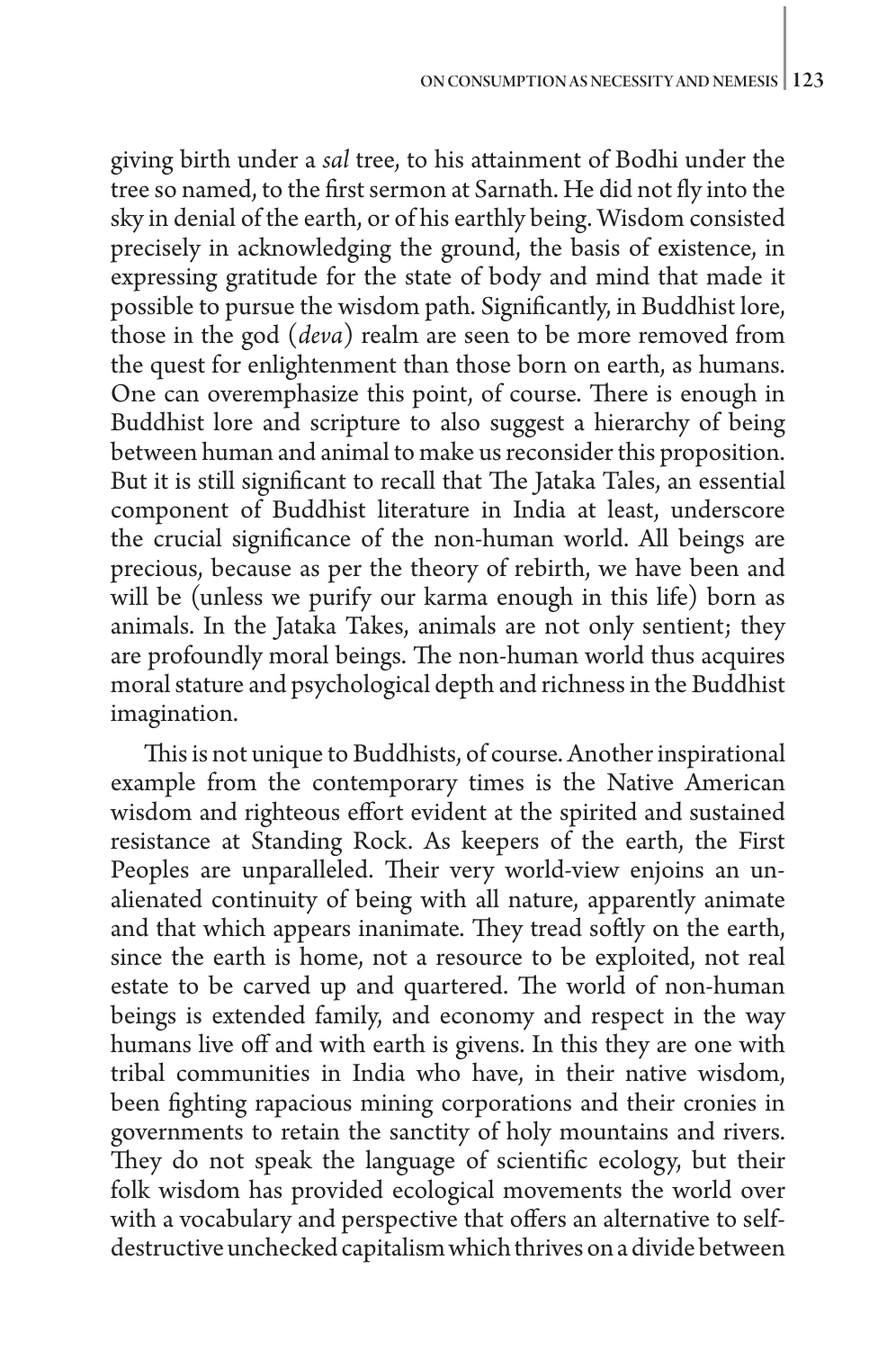giving birth under a *sal* tree, to his attainment of Bodhi under the tree so named, to the first sermon at Sarnath. He did not fly into the sky in denial of the earth, or of his earthly being. Wisdom consisted precisely in acknowledging the ground, the basis of existence, in expressing gratitude for the state of body and mind that made it possible to pursue the wisdom path. Significantly, in Buddhist lore, those in the god (*deva*) realm are seen to be more removed from the quest for enlightenment than those born on earth, as humans. One can overemphasize this point, of course. There is enough in Buddhist lore and scripture to also suggest a hierarchy of being between human and animal to make us reconsider this proposition. But it is still significant to recall that The Jataka Tales, an essential component of Buddhist literature in India at least, underscore the crucial significance of the non-human world. All beings are precious, because as per the theory of rebirth, we have been and will be (unless we purify our karma enough in this life) born as animals. In the Jataka Takes, animals are not only sentient; they are profoundly moral beings. The non-human world thus acquires moral stature and psychological depth and richness in the Buddhist imagination.

This is not unique to Buddhists, of course. Another inspirational example from the contemporary times is the Native American wisdom and righteous effort evident at the spirited and sustained resistance at Standing Rock. As keepers of the earth, the First Peoples are unparalleled. Their very world-view enjoins an unalienated continuity of being with all nature, apparently animate and that which appears inanimate. They tread softly on the earth, since the earth is home, not a resource to be exploited, not real estate to be carved up and quartered. The world of non-human beings is extended family, and economy and respect in the way humans live off and with earth is givens. In this they are one with tribal communities in India who have, in their native wisdom, been fighting rapacious mining corporations and their cronies in governments to retain the sanctity of holy mountains and rivers. They do not speak the language of scientific ecology, but their folk wisdom has provided ecological movements the world over with a vocabulary and perspective that offers an alternative to selfdestructive unchecked capitalism which thrives on a divide between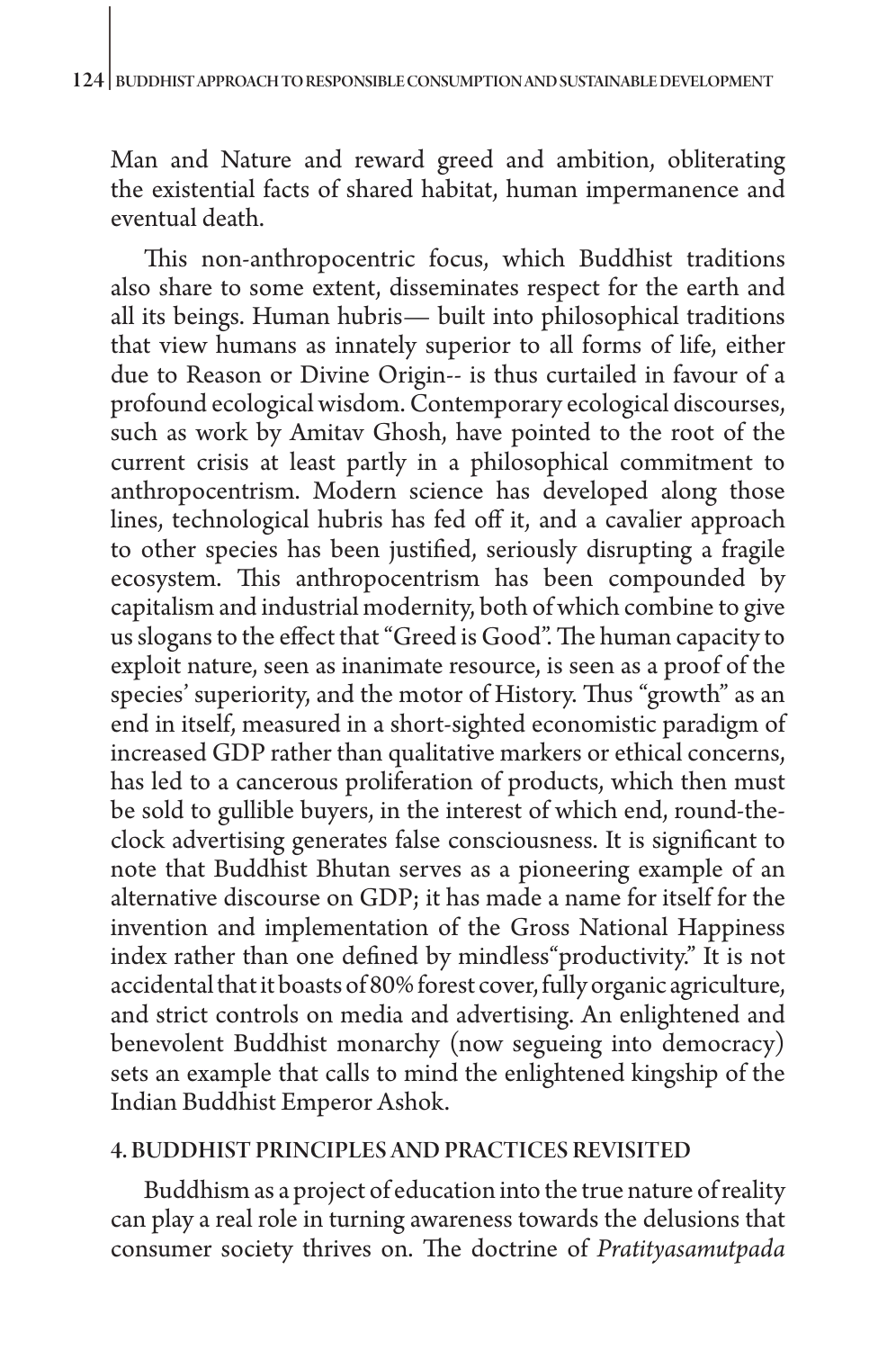Man and Nature and reward greed and ambition, obliterating the existential facts of shared habitat, human impermanence and eventual death.

This non-anthropocentric focus, which Buddhist traditions also share to some extent, disseminates respect for the earth and all its beings. Human hubris— built into philosophical traditions that view humans as innately superior to all forms of life, either due to Reason or Divine Origin-- is thus curtailed in favour of a profound ecological wisdom. Contemporary ecological discourses, such as work by Amitav Ghosh, have pointed to the root of the current crisis at least partly in a philosophical commitment to anthropocentrism. Modern science has developed along those lines, technological hubris has fed off it, and a cavalier approach to other species has been justified, seriously disrupting a fragile ecosystem. This anthropocentrism has been compounded by capitalism and industrial modernity, both of which combine to give us slogans to the effect that "Greed is Good". The human capacity to exploit nature, seen as inanimate resource, is seen as a proof of the species' superiority, and the motor of History. Thus "growth" as an end in itself, measured in a short-sighted economistic paradigm of increased GDP rather than qualitative markers or ethical concerns, has led to a cancerous proliferation of products, which then must be sold to gullible buyers, in the interest of which end, round-theclock advertising generates false consciousness. It is significant to note that Buddhist Bhutan serves as a pioneering example of an alternative discourse on GDP; it has made a name for itself for the invention and implementation of the Gross National Happiness index rather than one defined by mindless"productivity." It is not accidental that it boasts of 80% forest cover, fully organic agriculture, and strict controls on media and advertising. An enlightened and benevolent Buddhist monarchy (now segueing into democracy) sets an example that calls to mind the enlightened kingship of the Indian Buddhist Emperor Ashok.

#### 4. BUDDHIST PRINCIPLES AND PRACTICES REVISITED

Buddhism as a project of education into the true nature of reality can play a real role in turning awareness towards the delusions that consumer society thrives on. The doctrine of *Pratityasamutpada*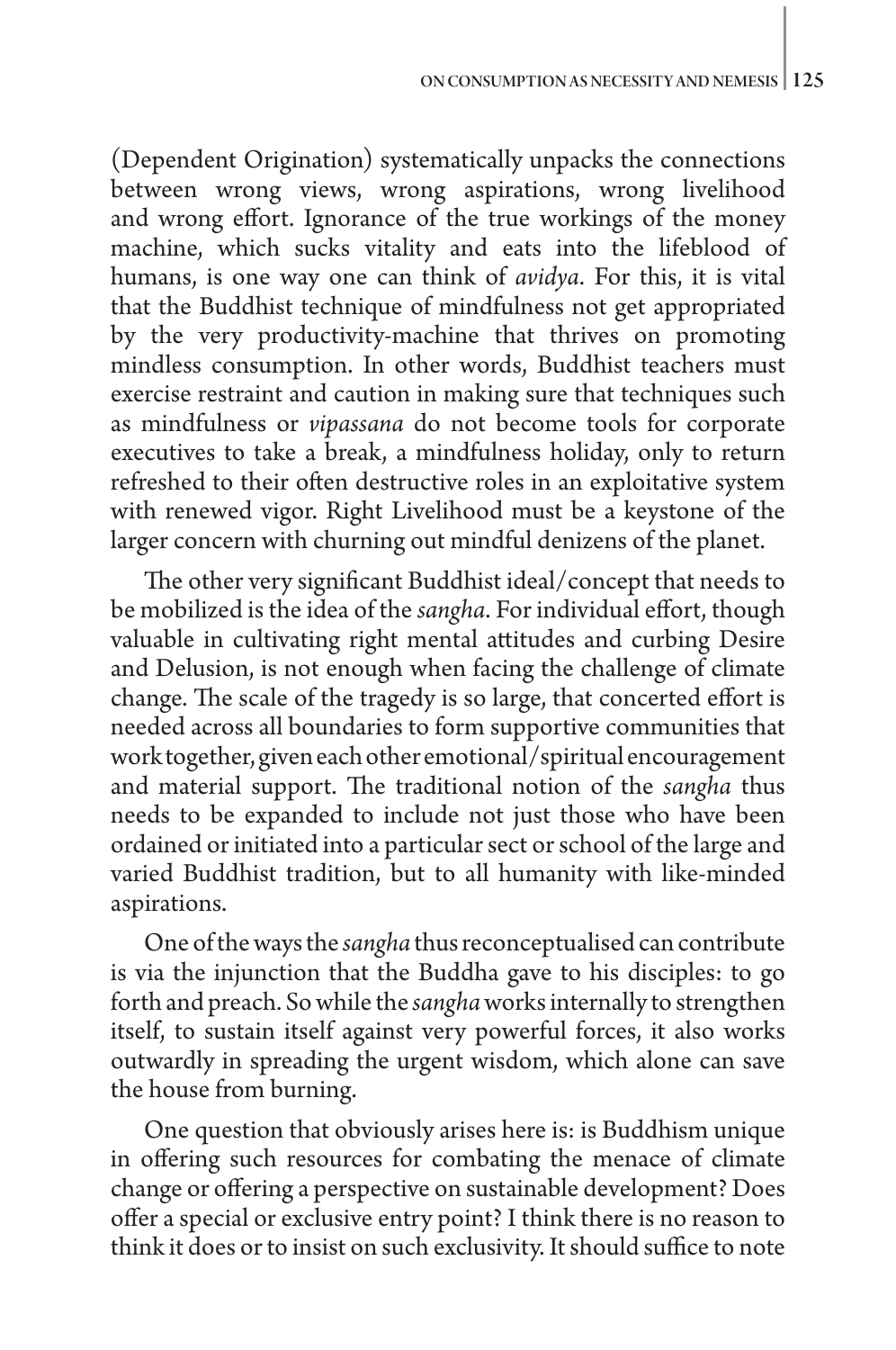(Dependent Origination) systematically unpacks the connections between wrong views, wrong aspirations, wrong livelihood and wrong effort. Ignorance of the true workings of the money machine, which sucks vitality and eats into the lifeblood of humans, is one way one can think of *avidya*. For this, it is vital that the Buddhist technique of mindfulness not get appropriated by the very productivity-machine that thrives on promoting mindless consumption. In other words, Buddhist teachers must exercise restraint and caution in making sure that techniques such as mindfulness or *vipassana* do not become tools for corporate executives to take a break, a mindfulness holiday, only to return refreshed to their often destructive roles in an exploitative system with renewed vigor. Right Livelihood must be a keystone of the larger concern with churning out mindful denizens of the planet.

The other very significant Buddhist ideal/concept that needs to be mobilized is the idea of the *sangha*. For individual effort, though valuable in cultivating right mental attitudes and curbing Desire and Delusion, is not enough when facing the challenge of climate change. The scale of the tragedy is so large, that concerted effort is needed across all boundaries to form supportive communities that work together, given each other emotional/spiritual encouragement and material support. The traditional notion of the *sangha* thus needs to be expanded to include not just those who have been ordained or initiated into a particular sect or school of the large and varied Buddhist tradition, but to all humanity with like-minded aspirations.

One of the ways the *sangha* thus reconceptualised can contribute is via the injunction that the Buddha gave to his disciples: to go forth and preach. So while the *sangha* works internally to strengthen itself, to sustain itself against very powerful forces, it also works outwardly in spreading the urgent wisdom, which alone can save the house from burning.

One question that obviously arises here is: is Buddhism unique in offering such resources for combating the menace of climate change or offering a perspective on sustainable development? Does offer a special or exclusive entry point? I think there is no reason to think it does or to insist on such exclusivity. It should suffice to note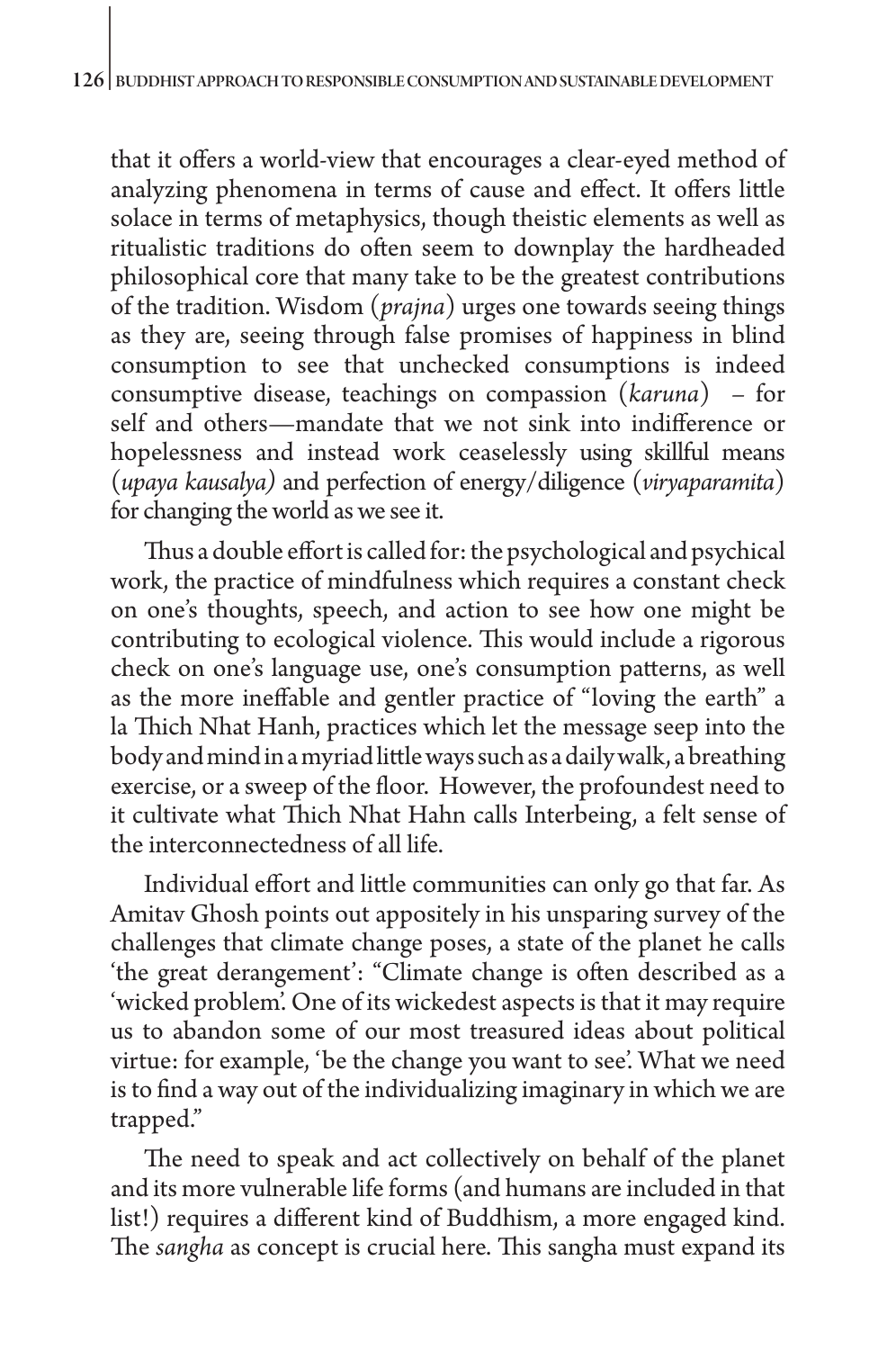that it offers a world-view that encourages a clear-eyed method of analyzing phenomena in terms of cause and effect. It offers little solace in terms of metaphysics, though theistic elements as well as ritualistic traditions do often seem to downplay the hardheaded philosophical core that many take to be the greatest contributions of the tradition. Wisdom (*prajna*) urges one towards seeing things as they are, seeing through false promises of happiness in blind consumption to see that unchecked consumptions is indeed consumptive disease, teachings on compassion (*karuna*) – for self and others—mandate that we not sink into indifference or hopelessness and instead work ceaselessly using skillful means (*upaya kausalya)* and perfection of energy/diligence (*viryaparamita*) for changing the world as we see it.

Thus a double effort is called for: the psychological and psychical work, the practice of mindfulness which requires a constant check on one's thoughts, speech, and action to see how one might be contributing to ecological violence. This would include a rigorous check on one's language use, one's consumption patterns, as well as the more ineffable and gentler practice of "loving the earth" a la Thich Nhat Hanh, practices which let the message seep into the body and mind in a myriad little ways such as a daily walk, a breathing exercise, or a sweep of the floor. However, the profoundest need to it cultivate what Thich Nhat Hahn calls Interbeing, a felt sense of the interconnectedness of all life.

Individual effort and little communities can only go that far. As Amitav Ghosh points out appositely in his unsparing survey of the challenges that climate change poses, a state of the planet he calls 'the great derangement': "Climate change is often described as a 'wicked problem'. One of its wickedest aspects is that it may require us to abandon some of our most treasured ideas about political virtue: for example, 'be the change you want to see'. What we need is to find a way out of the individualizing imaginary in which we are trapped."

The need to speak and act collectively on behalf of the planet and its more vulnerable life forms (and humans are included in that list!) requires a different kind of Buddhism, a more engaged kind. The *sangha* as concept is crucial here. This sangha must expand its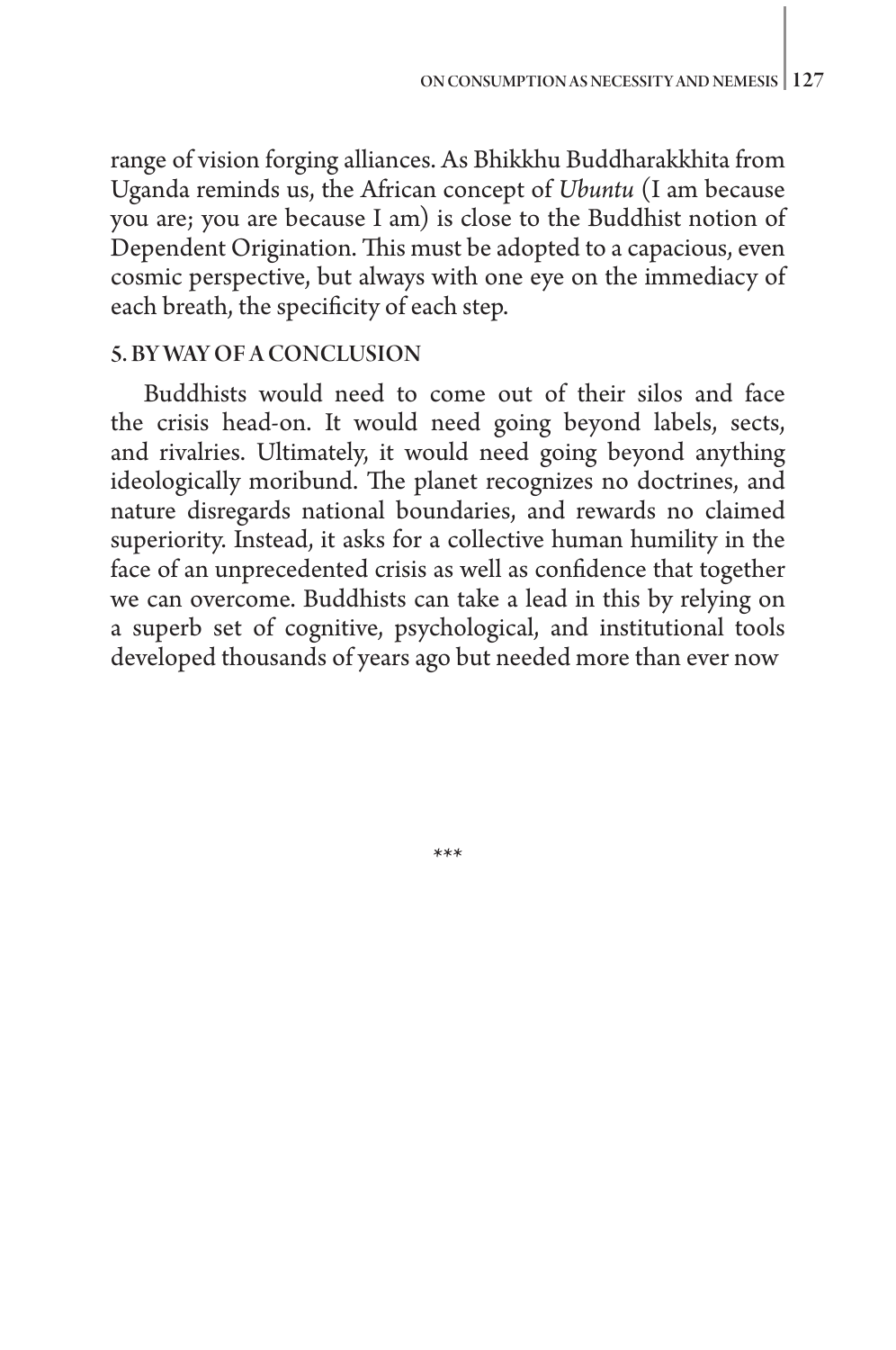range of vision forging alliances. As Bhikkhu Buddharakkhita from Uganda reminds us, the African concept of *Ubuntu* (I am because you are; you are because I am) is close to the Buddhist notion of Dependent Origination. This must be adopted to a capacious, even cosmic perspective, but always with one eye on the immediacy of each breath, the specificity of each step.

## 5. BY WAY OF A CONCLUSION

Buddhists would need to come out of their silos and face the crisis head-on. It would need going beyond labels, sects, and rivalries. Ultimately, it would need going beyond anything ideologically moribund. The planet recognizes no doctrines, and nature disregards national boundaries, and rewards no claimed superiority. Instead, it asks for a collective human humility in the face of an unprecedented crisis as well as confidence that together we can overcome. Buddhists can take a lead in this by relying on a superb set of cognitive, psychological, and institutional tools developed thousands of years ago but needed more than ever now

\*\*\*